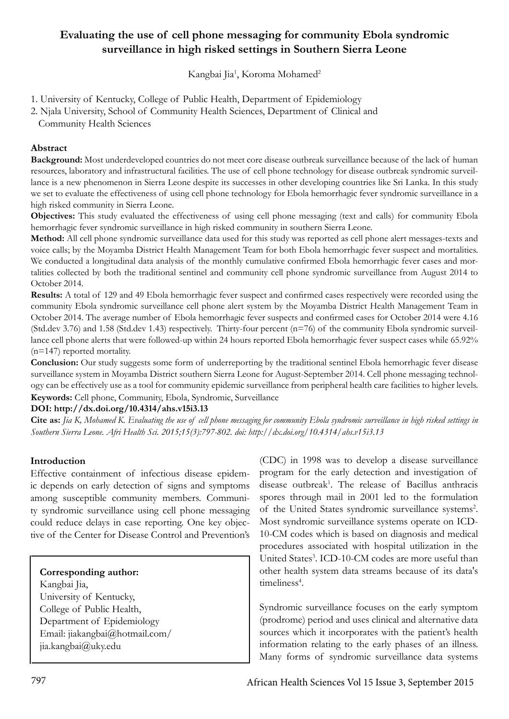# **Evaluating the use of cell phone messaging for community Ebola syndromic surveillance in high risked settings in Southern Sierra Leone**

Kangbai Jia<sup>1</sup>, Koroma Mohamed<sup>2</sup>

- 1. University of Kentucky, College of Public Health, Department of Epidemiology
- 2. Njala University, School of Community Health Sciences, Department of Clinical and
	- Community Health Sciences

# **Abstract**

**Background:** Most underdeveloped countries do not meet core disease outbreak surveillance because of the lack of human resources, laboratory and infrastructural facilities. The use of cell phone technology for disease outbreak syndromic surveillance is a new phenomenon in Sierra Leone despite its successes in other developing countries like Sri Lanka. In this study we set to evaluate the effectiveness of using cell phone technology for Ebola hemorrhagic fever syndromic surveillance in a high risked community in Sierra Leone.

**Objectives:** This study evaluated the effectiveness of using cell phone messaging (text and calls) for community Ebola hemorrhagic fever syndromic surveillance in high risked community in southern Sierra Leone.

**Method:** All cell phone syndromic surveillance data used for this study was reported as cell phone alert messages-texts and voice calls; by the Moyamba District Health Management Team for both Ebola hemorrhagic fever suspect and mortalities. We conducted a longitudinal data analysis of the monthly cumulative confirmed Ebola hemorrhagic fever cases and mortalities collected by both the traditional sentinel and community cell phone syndromic surveillance from August 2014 to October 2014.

**Results:** A total of 129 and 49 Ebola hemorrhagic fever suspect and confirmed cases respectively were recorded using the community Ebola syndromic surveillance cell phone alert system by the Moyamba District Health Management Team in October 2014. The average number of Ebola hemorrhagic fever suspects and confirmed cases for October 2014 were 4.16 (Std.dev 3.76) and 1.58 (Std.dev 1.43) respectively. Thirty-four percent (n=76) of the community Ebola syndromic surveillance cell phone alerts that were followed-up within 24 hours reported Ebola hemorrhagic fever suspect cases while 65.92% (n=147) reported mortality.

**Conclusion:** Our study suggests some form of underreporting by the traditional sentinel Ebola hemorrhagic fever disease surveillance system in Moyamba District southern Sierra Leone for August-September 2014. Cell phone messaging technology can be effectively use as a tool for community epidemic surveillance from peripheral health care facilities to higher levels. **Keywords:** Cell phone, Community, Ebola, Syndromic, Surveillance

# **DOI: http://dx.doi.org/10.4314/ahs.v15i3.13**

**Cite as:** *Jia K, Mohamed K. Evaluating the use of cell phone messaging for community Ebola syndromic surveillance in high risked settings in Southern Sierra Leone. Afri Health Sci. 2015;15(3):797-802. doi: http://dx.doi.org/10.4314/ahs.v15i3.13* 

# **Introduction**

Effective containment of infectious disease epidemic depends on early detection of signs and symptoms among susceptible community members. Community syndromic surveillance using cell phone messaging could reduce delays in case reporting. One key objective of the Center for Disease Control and Prevention's

# **Corresponding author:**

Kangbai Jia, University of Kentucky, College of Public Health, Department of Epidemiology Email: jiakangbai@hotmail.com/ jia.kangbai@uky.edu

(CDC) in 1998 was to develop a disease surveillance program for the early detection and investigation of disease outbreak<sup>1</sup>. The release of Bacillus anthracis spores through mail in 2001 led to the formulation of the United States syndromic surveillance systems<sup>2</sup>. Most syndromic surveillance systems operate on ICD-10-CM codes which is based on diagnosis and medical procedures associated with hospital utilization in the United States<sup>3</sup>. ICD-10-CM codes are more useful than other health system data streams because of its data's timeliness<sup>4</sup>.

Syndromic surveillance focuses on the early symptom (prodrome) period and uses clinical and alternative data sources which it incorporates with the patient's health information relating to the early phases of an illness. Many forms of syndromic surveillance data systems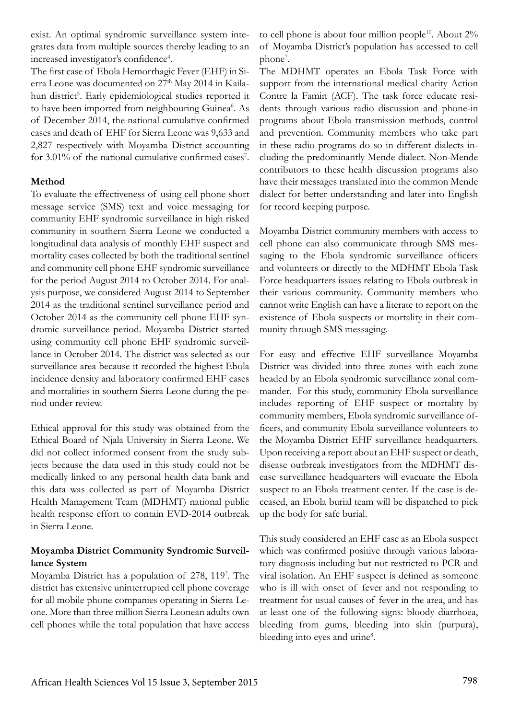exist. An optimal syndromic surveillance system integrates data from multiple sources thereby leading to an increased investigator's confidence<sup>4</sup> .

The first case of Ebola Hemorrhagic Fever (EHF) in Sierra Leone was documented on 27<sup>th</sup> May 2014 in Kailahun district<sup>5</sup>. Early epidemiological studies reported it to have been imported from neighbouring Guinea<sup>6</sup>. As of December 2014, the national cumulative confirmed cases and death of EHF for Sierra Leone was 9,633 and 2,827 respectively with Moyamba District accounting for 3.01% of the national cumulative confirmed cases<sup>7</sup>.

#### **Method**

To evaluate the effectiveness of using cell phone short message service (SMS) text and voice messaging for community EHF syndromic surveillance in high risked community in southern Sierra Leone we conducted a longitudinal data analysis of monthly EHF suspect and mortality cases collected by both the traditional sentinel and community cell phone EHF syndromic surveillance for the period August 2014 to October 2014. For analysis purpose, we considered August 2014 to September 2014 as the traditional sentinel surveillance period and October 2014 as the community cell phone EHF syndromic surveillance period. Moyamba District started using community cell phone EHF syndromic surveillance in October 2014. The district was selected as our surveillance area because it recorded the highest Ebola incidence density and laboratory confirmed EHF cases and mortalities in southern Sierra Leone during the period under review.

Ethical approval for this study was obtained from the Ethical Board of Njala University in Sierra Leone. We did not collect informed consent from the study subjects because the data used in this study could not be medically linked to any personal health data bank and this data was collected as part of Moyamba District Health Management Team (MDHMT) national public health response effort to contain EVD-2014 outbreak in Sierra Leone.

# **Moyamba District Community Syndromic Surveillance System**

Moyamba District has a population of 278, 119<sup>7</sup> . The district has extensive uninterrupted cell phone coverage for all mobile phone companies operating in Sierra Leone. More than three million Sierra Leonean adults own cell phones while the total population that have access

to cell phone is about four million people<sup>10</sup>. About  $2\%$ of Moyamba District's population has accessed to cell phone<sup>7</sup>.

The MDHMT operates an Ebola Task Force with support from the international medical charity Action Contre la Famin (ACF). The task force educate residents through various radio discussion and phone-in programs about Ebola transmission methods, control and prevention. Community members who take part in these radio programs do so in different dialects including the predominantly Mende dialect. Non-Mende contributors to these health discussion programs also have their messages translated into the common Mende dialect for better understanding and later into English for record keeping purpose.

Moyamba District community members with access to cell phone can also communicate through SMS messaging to the Ebola syndromic surveillance officers and volunteers or directly to the MDHMT Ebola Task Force headquarters issues relating to Ebola outbreak in their various community. Community members who cannot write English can have a literate to report on the existence of Ebola suspects or mortality in their community through SMS messaging.

For easy and effective EHF surveillance Moyamba District was divided into three zones with each zone headed by an Ebola syndromic surveillance zonal commander. For this study, community Ebola surveillance includes reporting of EHF suspect or mortality by community members, Ebola syndromic surveillance officers, and community Ebola surveillance volunteers to the Moyamba District EHF surveillance headquarters. Upon receiving a report about an EHF suspect or death, disease outbreak investigators from the MDHMT disease surveillance headquarters will evacuate the Ebola suspect to an Ebola treatment center. If the case is deceased, an Ebola burial team will be dispatched to pick up the body for safe burial.

This study considered an EHF case as an Ebola suspect which was confirmed positive through various laboratory diagnosis including but not restricted to PCR and viral isolation. An EHF suspect is defined as someone who is ill with onset of fever and not responding to treatment for usual causes of fever in the area, and has at least one of the following signs: bloody diarrhoea, bleeding from gums, bleeding into skin (purpura), bleeding into eyes and urine<sup>8</sup>.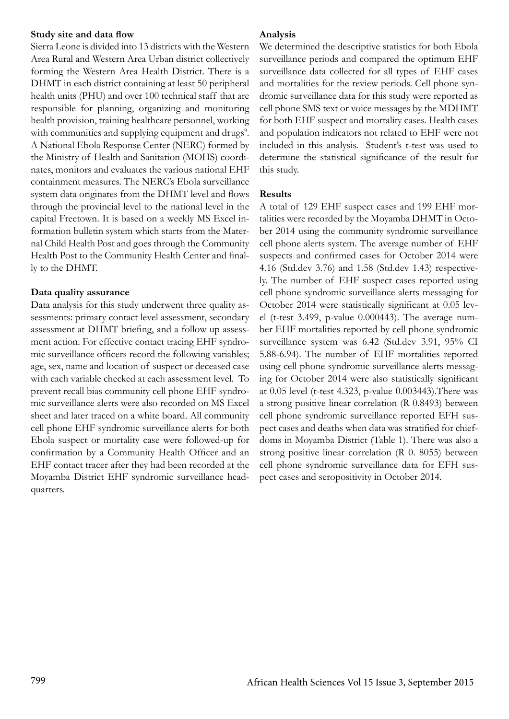#### **Study site and data flow**

Sierra Leone is divided into 13 districts with the Western Area Rural and Western Area Urban district collectively forming the Western Area Health District. There is a DHMT in each district containing at least 50 peripheral health units (PHU) and over 100 technical staff that are responsible for planning, organizing and monitoring health provision, training healthcare personnel, working with communities and supplying equipment and drugs<sup>9</sup>. A National Ebola Response Center (NERC) formed by the Ministry of Health and Sanitation (MOHS) coordinates, monitors and evaluates the various national EHF containment measures. The NERC's Ebola surveillance system data originates from the DHMT level and flows through the provincial level to the national level in the capital Freetown. It is based on a weekly MS Excel information bulletin system which starts from the Maternal Child Health Post and goes through the Community Health Post to the Community Health Center and finally to the DHMT.

#### **Data quality assurance**

Data analysis for this study underwent three quality assessments: primary contact level assessment, secondary assessment at DHMT briefing, and a follow up assessment action. For effective contact tracing EHF syndromic surveillance officers record the following variables; age, sex, name and location of suspect or deceased case with each variable checked at each assessment level. To prevent recall bias community cell phone EHF syndromic surveillance alerts were also recorded on MS Excel sheet and later traced on a white board. All community cell phone EHF syndromic surveillance alerts for both Ebola suspect or mortality case were followed-up for confirmation by a Community Health Officer and an EHF contact tracer after they had been recorded at the Moyamba District EHF syndromic surveillance headquarters.

#### **Analysis**

We determined the descriptive statistics for both Ebola surveillance periods and compared the optimum EHF surveillance data collected for all types of EHF cases and mortalities for the review periods. Cell phone syndromic surveillance data for this study were reported as cell phone SMS text or voice messages by the MDHMT for both EHF suspect and mortality cases. Health cases and population indicators not related to EHF were not included in this analysis. Student's t-test was used to determine the statistical significance of the result for this study.

#### **Results**

A total of 129 EHF suspect cases and 199 EHF mortalities were recorded by the Moyamba DHMT in October 2014 using the community syndromic surveillance cell phone alerts system. The average number of EHF suspects and confirmed cases for October 2014 were 4.16 (Std.dev 3.76) and 1.58 (Std.dev 1.43) respectively. The number of EHF suspect cases reported using cell phone syndromic surveillance alerts messaging for October 2014 were statistically significant at 0.05 level (t-test 3.499, p-value 0.000443). The average number EHF mortalities reported by cell phone syndromic surveillance system was 6.42 (Std.dev 3.91, 95% CI 5.88-6.94). The number of EHF mortalities reported using cell phone syndromic surveillance alerts messaging for October 2014 were also statistically significant at 0.05 level (t-test 4.323, p-value 0.003443).There was a strong positive linear correlation (R 0.8493) between cell phone syndromic surveillance reported EFH suspect cases and deaths when data was stratified for chiefdoms in Moyamba District (Table 1). There was also a strong positive linear correlation (R 0. 8055) between cell phone syndromic surveillance data for EFH suspect cases and seropositivity in October 2014.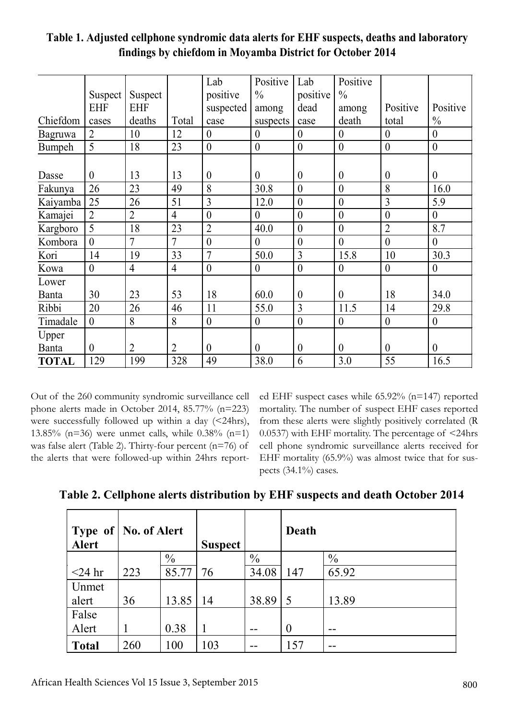|              |                  |                |                | Lab              | Positive         | Lab              | Positive         |                  |                  |
|--------------|------------------|----------------|----------------|------------------|------------------|------------------|------------------|------------------|------------------|
|              | Suspect          | Suspect        |                | positive         | $\frac{0}{0}$    | positive         | $\frac{0}{0}$    |                  |                  |
|              | <b>EHF</b>       | <b>EHF</b>     |                | suspected        | among            | dead             | among            | Positive         | Positive         |
| Chiefdom     | cases            | deaths         | Total          | case             | suspects         | case             | death            | total            | $\frac{0}{0}$    |
| Bagruwa      | $\overline{2}$   | 10             | 12             | $\overline{0}$   | $\boldsymbol{0}$ | $\theta$         | $\boldsymbol{0}$ | $\boldsymbol{0}$ | $\boldsymbol{0}$ |
| Bumpeh       | 5                | 18             | 23             | $\overline{0}$   | $\overline{0}$   | $\theta$         | $\boldsymbol{0}$ | $\boldsymbol{0}$ | $\boldsymbol{0}$ |
|              |                  |                |                |                  |                  |                  |                  |                  |                  |
| Dasse        | $\theta$         | 13             | 13             | $\theta$         | $\theta$         | $\boldsymbol{0}$ | $\boldsymbol{0}$ | $\boldsymbol{0}$ | $\boldsymbol{0}$ |
| Fakunya      | 26               | 23             | 49             | 8                | 30.8             | $\boldsymbol{0}$ | $\boldsymbol{0}$ | 8                | 16.0             |
| Kaiyamba     | 25               | 26             | 51             | 3                | 12.0             | $\boldsymbol{0}$ | $\boldsymbol{0}$ | $\overline{3}$   | 5.9              |
| Kamajei      | $\overline{2}$   | $\overline{2}$ | $\overline{4}$ | $\overline{0}$   | $\overline{0}$   | $\mathbf{0}$     | $\mathbf{0}$     | $\boldsymbol{0}$ | $\theta$         |
| Kargboro     | 5                | 18             | 23             | $\overline{2}$   | 40.0             | $\boldsymbol{0}$ | $\boldsymbol{0}$ | $\overline{2}$   | 8.7              |
| Kombora      | $\overline{0}$   | 7              | 7              | $\overline{0}$   | $\theta$         | $\boldsymbol{0}$ | $\theta$         | $\overline{0}$   | $\theta$         |
| Kori         | 14               | 19             | 33             | $\overline{7}$   | 50.0             | $\overline{3}$   | 15.8             | 10               | 30.3             |
| Kowa         | $\theta$         | $\overline{4}$ | $\overline{4}$ | $\boldsymbol{0}$ | $\boldsymbol{0}$ | $\boldsymbol{0}$ | $\boldsymbol{0}$ | $\boldsymbol{0}$ | $\boldsymbol{0}$ |
| Lower        |                  |                |                |                  |                  |                  |                  |                  |                  |
| <b>Banta</b> | 30               | 23             | 53             | 18               | 60.0             | $\boldsymbol{0}$ | $\boldsymbol{0}$ | 18               | 34.0             |
| Ribbi        | 20               | 26             | 46             | 11               | 55.0             | $\overline{3}$   | 11.5             | 14               | 29.8             |
| Timadale     | $\theta$         | 8              | 8              | $\boldsymbol{0}$ | $\boldsymbol{0}$ | $\boldsymbol{0}$ | $\boldsymbol{0}$ | $\boldsymbol{0}$ | $\theta$         |
| Upper        |                  |                |                |                  |                  |                  |                  |                  |                  |
| Banta        | $\boldsymbol{0}$ | $\overline{2}$ | $\overline{2}$ | $\overline{0}$   | $\theta$         | $\theta$         | $\boldsymbol{0}$ | $\theta$         | $\boldsymbol{0}$ |
| <b>TOTAL</b> | 129              | 199            | 328            | 49               | 38.0             | 6                | 3.0              | 55               | 16.5             |

# **Table 1. Adjusted cellphone syndromic data alerts for EHF suspects, deaths and laboratory findings by chiefdom in Moyamba District for October 2014**

Out of the 260 community syndromic surveillance cell phone alerts made in October 2014, 85.77% (n=223) were successfully followed up within a day (<24hrs), 13.85% (n=36) were unmet calls, while 0.38% (n=1) was false alert (Table 2). Thirty-four percent (n=76) of the alerts that were followed-up within 24hrs reported EHF suspect cases while 65.92% (n=147) reported mortality. The number of suspect EHF cases reported from these alerts were slightly positively correlated (R 0.0537) with EHF mortality. The percentage of <24hrs cell phone syndromic surveillance alerts received for EHF mortality (65.9%) was almost twice that for suspects (34.1%) cases.

|  | Table 2. Cellphone alerts distribution by EHF suspects and death October 2014 |  |
|--|-------------------------------------------------------------------------------|--|
|  |                                                                               |  |

| <b>Alert</b> | Type of   No. of Alert |       | <b>Suspect</b> |               | Death          |       |
|--------------|------------------------|-------|----------------|---------------|----------------|-------|
|              |                        | $\%$  |                | $\frac{0}{0}$ |                | $\%$  |
| $<$ 24 hr    | 223                    | 85.77 | 76             | 34.08         | 147            | 65.92 |
| Unmet        |                        |       |                |               |                |       |
| alert        | 36                     | 13.85 | 14             | 38.89         | 5              | 13.89 |
| False        |                        |       |                |               |                |       |
| Alert        |                        | 0.38  |                | --            | $\overline{0}$ | --    |
| <b>Total</b> | 260                    | 100   | 103            |               | 157            | --    |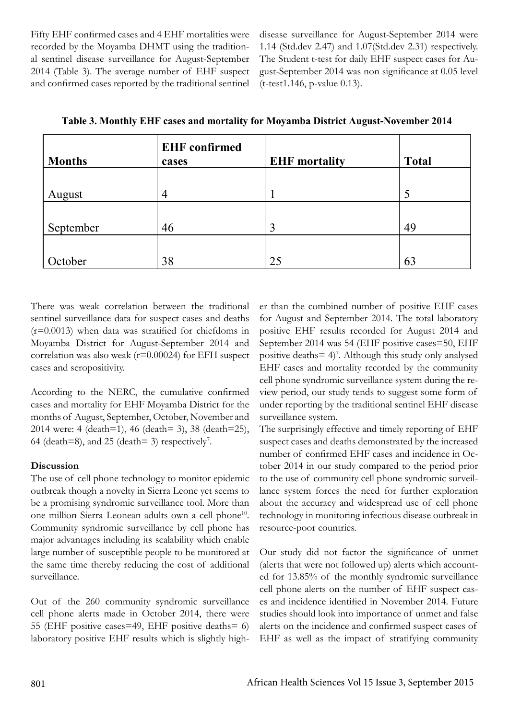Fifty EHF confirmed cases and 4 EHF mortalities were recorded by the Moyamba DHMT using the traditional sentinel disease surveillance for August-September 2014 (Table 3). The average number of EHF suspect and confirmed cases reported by the traditional sentinel disease surveillance for August-September 2014 were 1.14 (Std.dev 2.47) and 1.07(Std.dev 2.31) respectively. The Student t-test for daily EHF suspect cases for August-September 2014 was non significance at 0.05 level (t-test1.146, p-value 0.13).

| <b>Months</b> | <b>EHF</b> confirmed<br>cases | <b>EHF</b> mortality | <b>Total</b> |
|---------------|-------------------------------|----------------------|--------------|
|               |                               |                      |              |
| August        | 4                             |                      |              |
| September     | 46                            | 3                    | 49           |
|               |                               |                      |              |
| October       | 38                            | 25                   | 63           |

**Table 3. Monthly EHF cases and mortality for Moyamba District August-November 2014**

There was weak correlation between the traditional sentinel surveillance data for suspect cases and deaths (r=0.0013) when data was stratified for chiefdoms in Moyamba District for August-September 2014 and correlation was also weak (r=0.00024) for EFH suspect cases and seropositivity.

According to the NERC, the cumulative confirmed cases and mortality for EHF Moyamba District for the months of August, September, October, November and 2014 were: 4 (death=1), 46 (death= 3), 38 (death=25), 64 (death=8), and 25 (death= $3$ ) respectively<sup>7</sup>.

#### **Discussion**

The use of cell phone technology to monitor epidemic outbreak though a novelty in Sierra Leone yet seems to be a promising syndromic surveillance tool. More than one million Sierra Leonean adults own a cell phone<sup>10</sup>. Community syndromic surveillance by cell phone has major advantages including its scalability which enable large number of susceptible people to be monitored at the same time thereby reducing the cost of additional surveillance.

Out of the 260 community syndromic surveillance cell phone alerts made in October 2014, there were 55 (EHF positive cases=49, EHF positive deaths= 6) laboratory positive EHF results which is slightly higher than the combined number of positive EHF cases for August and September 2014. The total laboratory positive EHF results recorded for August 2014 and September 2014 was 54 (EHF positive cases=50, EHF positive deaths  $= 4$ <sup>7</sup>. Although this study only analysed EHF cases and mortality recorded by the community cell phone syndromic surveillance system during the review period, our study tends to suggest some form of under reporting by the traditional sentinel EHF disease surveillance system.

The surprisingly effective and timely reporting of EHF suspect cases and deaths demonstrated by the increased number of confirmed EHF cases and incidence in October 2014 in our study compared to the period prior to the use of community cell phone syndromic surveillance system forces the need for further exploration about the accuracy and widespread use of cell phone technology in monitoring infectious disease outbreak in resource-poor countries.

Our study did not factor the significance of unmet (alerts that were not followed up) alerts which accounted for 13.85% of the monthly syndromic surveillance cell phone alerts on the number of EHF suspect cases and incidence identified in November 2014. Future studies should look into importance of unmet and false alerts on the incidence and confirmed suspect cases of EHF as well as the impact of stratifying community